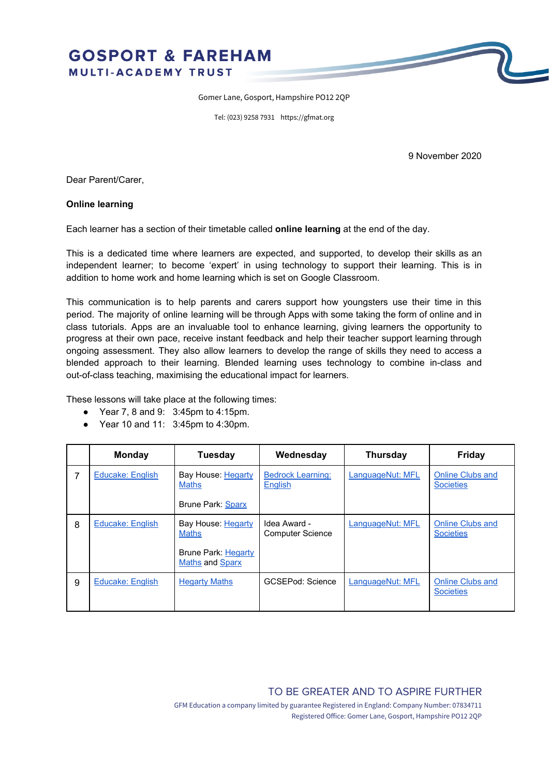## **GOSPORT & FAREHAM** MULTI-ACADEMY TRUST

Gomer Lane, Gosport, Hampshire PO12 2QP

Tel: (023) 9258 7931 https://gfmat.org

9 November 2020

Dear Parent/Carer,

## **Online learning**

Each learner has a section of their timetable called **online learning** at the end of the day.

This is a dedicated time where learners are expected, and supported, to develop their skills as an independent learner; to become 'expert' in using technology to support their learning. This is in addition to home work and home learning which is set on Google Classroom.

This communication is to help parents and carers support how youngsters use their time in this period. The majority of online learning will be through Apps with some taking the form of online and in class tutorials. Apps are an invaluable tool to enhance learning, giving learners the opportunity to progress at their own pace, receive instant feedback and help their teacher support learning through ongoing assessment. They also allow learners to develop the range of skills they need to access a blended approach to their learning. Blended learning uses technology to combine in-class and out-of-class teaching, maximising the educational impact for learners.

These lessons will take place at the following times:

- Year 7, 8 and 9: 3:45pm to 4:15pm.
- Year 10 and 11: 3:45pm to 4:30pm.

|   | Monday                  | Tuesday                                       | Wednesday                                  | <b>Thursday</b>  | Friday                                      |
|---|-------------------------|-----------------------------------------------|--------------------------------------------|------------------|---------------------------------------------|
| 7 | <b>Educake: English</b> | Bay House: Hegarty<br><b>Maths</b>            | <b>Bedrock Learning:</b><br><b>English</b> | LanguageNut: MFL | <b>Online Clubs and</b><br><b>Societies</b> |
|   |                         | Brune Park: Sparx                             |                                            |                  |                                             |
| 8 | Educake: English        | Bay House: Hegarty<br><b>Maths</b>            | Idea Award -<br><b>Computer Science</b>    | LanguageNut: MFL | <b>Online Clubs and</b><br><b>Societies</b> |
|   |                         | Brune Park: Hegarty<br><b>Maths and Sparx</b> |                                            |                  |                                             |
| 9 | <b>Educake: English</b> | <b>Hegarty Maths</b>                          | <b>GCSEPod: Science</b>                    | LanguageNut: MFL | <b>Online Clubs and</b><br><b>Societies</b> |

TO BE GREATER AND TO ASPIRE FURTHER

GFM Education a company limited by guarantee Registered in England: Company Number: 07834711 Registered Office: Gomer Lane, Gosport, Hampshire PO12 2QP